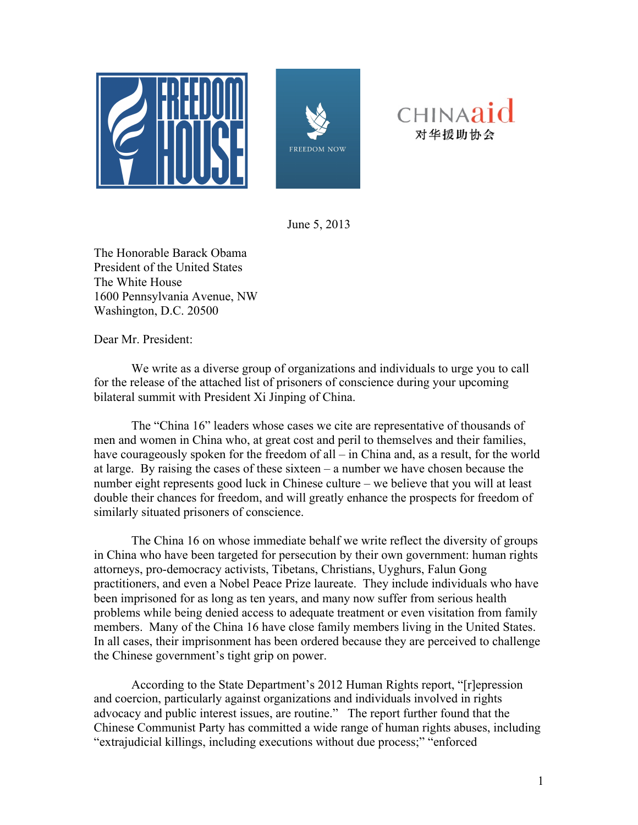





June 5, 2013

The Honorable Barack Obama President of the United States The White House 1600 Pennsylvania Avenue, NW Washington, D.C. 20500

Dear Mr. President:

We write as a diverse group of organizations and individuals to urge you to call for the release of the attached list of prisoners of conscience during your upcoming bilateral summit with President Xi Jinping of China.

The "China 16" leaders whose cases we cite are representative of thousands of men and women in China who, at great cost and peril to themselves and their families, have courageously spoken for the freedom of all – in China and, as a result, for the world at large. By raising the cases of these sixteen – a number we have chosen because the number eight represents good luck in Chinese culture – we believe that you will at least double their chances for freedom, and will greatly enhance the prospects for freedom of similarly situated prisoners of conscience.

The China 16 on whose immediate behalf we write reflect the diversity of groups in China who have been targeted for persecution by their own government: human rights attorneys, pro-democracy activists, Tibetans, Christians, Uyghurs, Falun Gong practitioners, and even a Nobel Peace Prize laureate. They include individuals who have been imprisoned for as long as ten years, and many now suffer from serious health problems while being denied access to adequate treatment or even visitation from family members. Many of the China 16 have close family members living in the United States. In all cases, their imprisonment has been ordered because they are perceived to challenge the Chinese government's tight grip on power.

According to the State Department's 2012 Human Rights report, "[r]epression and coercion, particularly against organizations and individuals involved in rights advocacy and public interest issues, are routine." The report further found that the Chinese Communist Party has committed a wide range of human rights abuses, including "extrajudicial killings, including executions without due process;" "enforced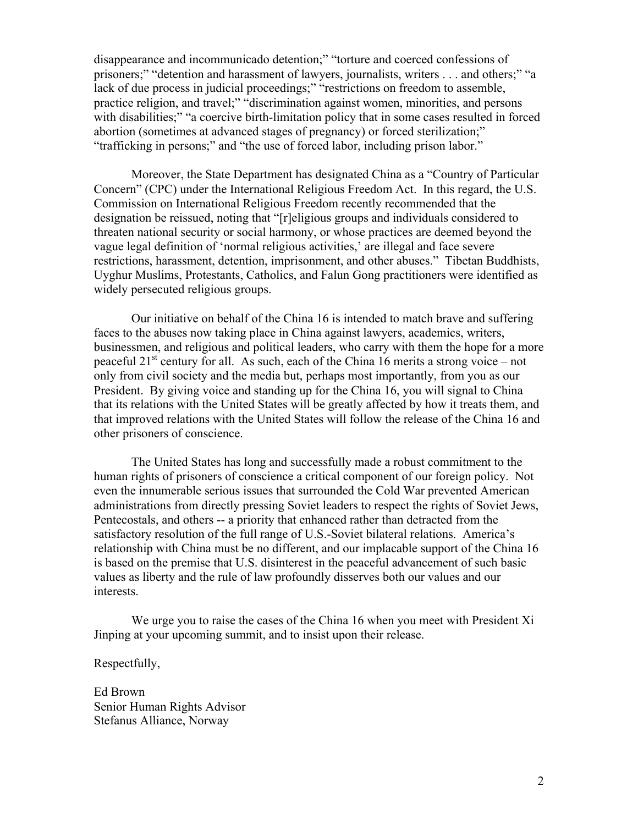disappearance and incommunicado detention;" "torture and coerced confessions of prisoners;" "detention and harassment of lawyers, journalists, writers . . . and others;" "a lack of due process in judicial proceedings;" "restrictions on freedom to assemble, practice religion, and travel;" "discrimination against women, minorities, and persons with disabilities;" "a coercive birth-limitation policy that in some cases resulted in forced abortion (sometimes at advanced stages of pregnancy) or forced sterilization;" "trafficking in persons;" and "the use of forced labor, including prison labor."

Moreover, the State Department has designated China as a "Country of Particular Concern" (CPC) under the International Religious Freedom Act. In this regard, the U.S. Commission on International Religious Freedom recently recommended that the designation be reissued, noting that "[r]eligious groups and individuals considered to threaten national security or social harmony, or whose practices are deemed beyond the vague legal definition of 'normal religious activities,' are illegal and face severe restrictions, harassment, detention, imprisonment, and other abuses." Tibetan Buddhists, Uyghur Muslims, Protestants, Catholics, and Falun Gong practitioners were identified as widely persecuted religious groups.

Our initiative on behalf of the China 16 is intended to match brave and suffering faces to the abuses now taking place in China against lawyers, academics, writers, businessmen, and religious and political leaders, who carry with them the hope for a more peaceful  $21<sup>st</sup>$  century for all. As such, each of the China 16 merits a strong voice – not only from civil society and the media but, perhaps most importantly, from you as our President. By giving voice and standing up for the China 16, you will signal to China that its relations with the United States will be greatly affected by how it treats them, and that improved relations with the United States will follow the release of the China 16 and other prisoners of conscience.

The United States has long and successfully made a robust commitment to the human rights of prisoners of conscience a critical component of our foreign policy. Not even the innumerable serious issues that surrounded the Cold War prevented American administrations from directly pressing Soviet leaders to respect the rights of Soviet Jews, Pentecostals, and others -- a priority that enhanced rather than detracted from the satisfactory resolution of the full range of U.S.-Soviet bilateral relations. America's relationship with China must be no different, and our implacable support of the China 16 is based on the premise that U.S. disinterest in the peaceful advancement of such basic values as liberty and the rule of law profoundly disserves both our values and our interests.

We urge you to raise the cases of the China 16 when you meet with President Xi Jinping at your upcoming summit, and to insist upon their release.

Respectfully,

Ed Brown Senior Human Rights Advisor Stefanus Alliance, Norway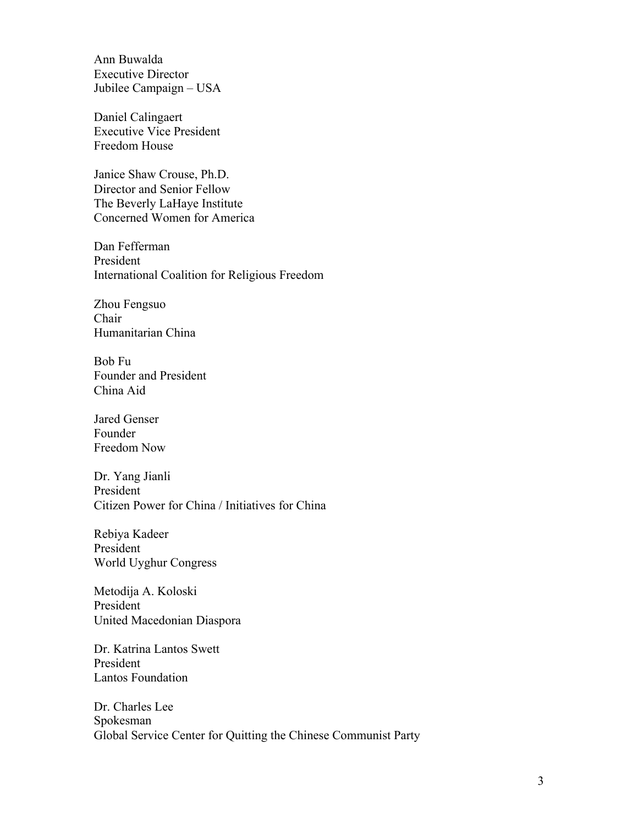Ann Buwalda Executive Director Jubilee Campaign – USA

Daniel Calingaert Executive Vice President Freedom House

Janice Shaw Crouse, Ph.D. Director and Senior Fellow The Beverly LaHaye Institute Concerned Women for America

Dan Fefferman President International Coalition for Religious Freedom

Zhou Fengsuo Chair Humanitarian China

Bob Fu Founder and President China Aid

Jared Genser Founder Freedom Now

Dr. Yang Jianli President Citizen Power for China / Initiatives for China

Rebiya Kadeer President World Uyghur Congress

Metodija A. Koloski President United Macedonian Diaspora

Dr. Katrina Lantos Swett President Lantos Foundation

Dr. Charles Lee Spokesman Global Service Center for Quitting the Chinese Communist Party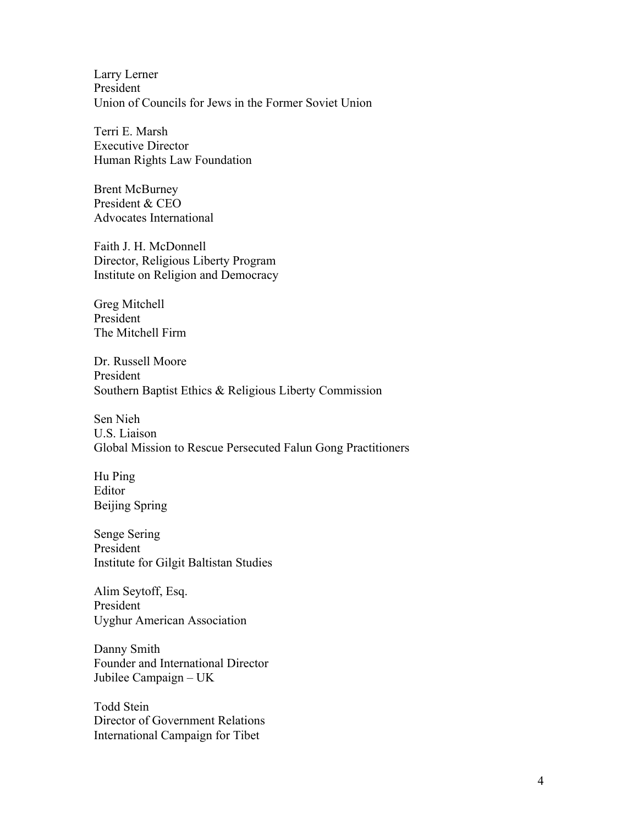Larry Lerner President Union of Councils for Jews in the Former Soviet Union

Terri E. Marsh Executive Director Human Rights Law Foundation

Brent McBurney President & CEO Advocates International

Faith J. H. McDonnell Director, Religious Liberty Program Institute on Religion and Democracy

Greg Mitchell President The Mitchell Firm

Dr. Russell Moore President Southern Baptist Ethics & Religious Liberty Commission

Sen Nieh U.S. Liaison Global Mission to Rescue Persecuted Falun Gong Practitioners

Hu Ping Editor Beijing Spring

Senge Sering President Institute for Gilgit Baltistan Studies

Alim Seytoff, Esq. President Uyghur American Association

Danny Smith Founder and International Director Jubilee Campaign – UK

Todd Stein Director of Government Relations International Campaign for Tibet